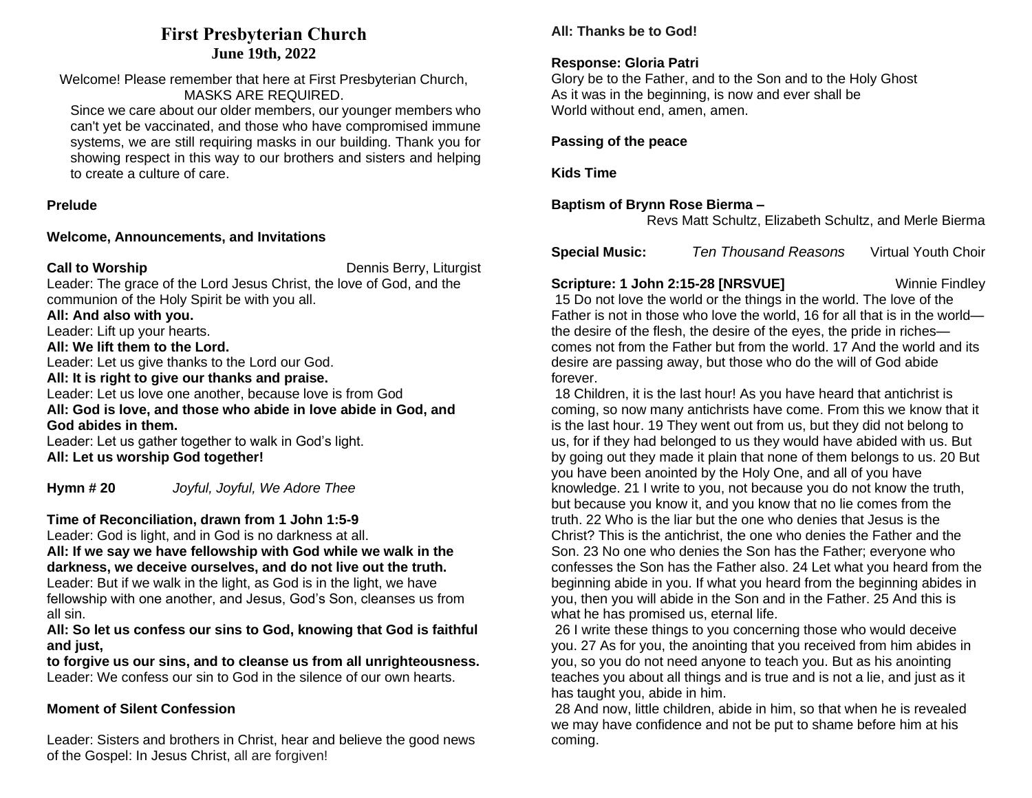# **First Presbyterian Church June 19th, 2022**

Welcome! Please remember that here at First Presbyterian Church, MASKS ARE REQUIRED.

Since we care about our older members, our younger members who can't yet be vaccinated, and those who have compromised immune systems, we are still requiring masks in our building. Thank you for showing respect in this way to our brothers and sisters and helping to create a culture of care.

### **Prelude**

#### **Welcome, Announcements, and Invitations**

**Call to Worship** Dennis Berry, Liturgist

Leader: The grace of the Lord Jesus Christ, the love of God, and the communion of the Holy Spirit be with you all.

**All: And also with you.**

Leader: Lift up your hearts.

### **All: We lift them to the Lord.**

Leader: Let us give thanks to the Lord our God.

**All: It is right to give our thanks and praise.**

Leader: Let us love one another, because love is from God **All: God is love, and those who abide in love abide in God, and God abides in them.**

Leader: Let us gather together to walk in God's light. **All: Let us worship God together!**

**Hymn # 20** *Joyful, Joyful, We Adore Thee*

## **Time of Reconciliation, drawn from 1 John 1:5-9**

Leader: God is light, and in God is no darkness at all.

**All: If we say we have fellowship with God while we walk in the darkness, we deceive ourselves, and do not live out the truth.**

Leader: But if we walk in the light, as God is in the light, we have fellowship with one another, and Jesus, God's Son, cleanses us from all sin.

**All: So let us confess our sins to God, knowing that God is faithful and just,**

**to forgive us our sins, and to cleanse us from all unrighteousness.** Leader: We confess our sin to God in the silence of our own hearts.

## **Moment of Silent Confession**

Leader: Sisters and brothers in Christ, hear and believe the good news of the Gospel: In Jesus Christ, all are forgiven!

# **All: Thanks be to God!**

# **Response: Gloria Patri**

Glory be to the Father, and to the Son and to the Holy Ghost As it was in the beginning, is now and ever shall be World without end, amen, amen.

**Passing of the peace**

**Kids Time**

## **Baptism of Brynn Rose Bierma –**

Revs Matt Schultz, Elizabeth Schultz, and Merle Bierma

| <b>Special Music:</b> | Ten Thousand Reasons | <b>Virtual Youth Choir</b> |
|-----------------------|----------------------|----------------------------|
|                       |                      |                            |

### **Scripture: 1 John 2:15-28 [NRSVUE]** Winnie Findley

15 Do not love the world or the things in the world. The love of the Father is not in those who love the world, 16 for all that is in the world the desire of the flesh, the desire of the eyes, the pride in riches comes not from the Father but from the world. 17 And the world and its desire are passing away, but those who do the will of God abide forever.

18 Children, it is the last hour! As you have heard that antichrist is coming, so now many antichrists have come. From this we know that it is the last hour. 19 They went out from us, but they did not belong to us, for if they had belonged to us they would have abided with us. But by going out they made it plain that none of them belongs to us. 20 But you have been anointed by the Holy One, and all of you have knowledge. 21 I write to you, not because you do not know the truth, but because you know it, and you know that no lie comes from the truth. 22 Who is the liar but the one who denies that Jesus is the Christ? This is the antichrist, the one who denies the Father and the Son. 23 No one who denies the Son has the Father; everyone who confesses the Son has the Father also. 24 Let what you heard from the beginning abide in you. If what you heard from the beginning abides in you, then you will abide in the Son and in the Father. 25 And this is what he has promised us, eternal life.

26 I write these things to you concerning those who would deceive you. 27 As for you, the anointing that you received from him abides in you, so you do not need anyone to teach you. But as his anointing teaches you about all things and is true and is not a lie, and just as it has taught you, abide in him.

28 And now, little children, abide in him, so that when he is revealed we may have confidence and not be put to shame before him at his coming.